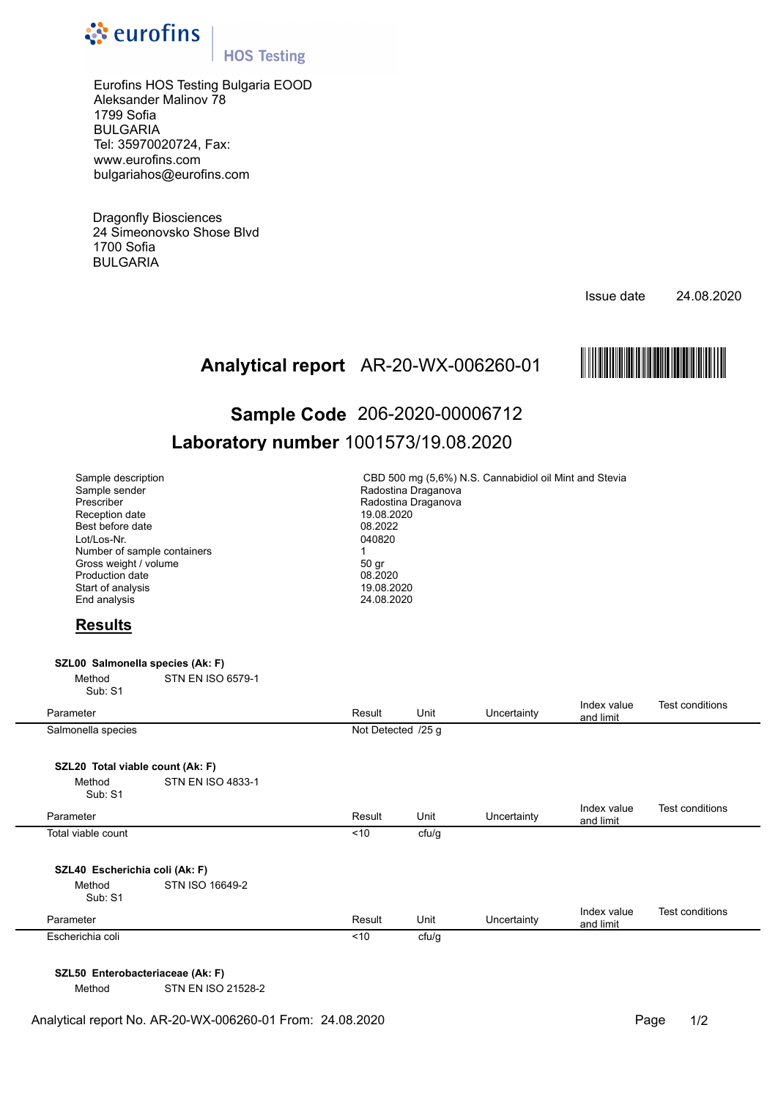

## **HOS Testing**

Eurofins HOS Testing Bulgaria EOOD Aleksander Malinov 78 1799 Sofia BULGARIA Tel: 35970020724, Fax: www.eurofins.com bulgariahos@eurofins.com

Dragonfly Biosciences 24 Simeonovsko Shose Blvd 1700 Sofia BULGARIA

Issue date 24.08.2020



# AR-20-WX-006260-01 МAR-20-WX-ЗВ^\И-01AО **Analytical report Sample Code** 206-2020-00006712 **Laboratory number** 1001573/19.08.2020

| Sample description<br>Sample sender<br>Prescriber<br>Reception date<br>Best before date<br>Lot/Los-Nr.<br>Number of sample containers<br>Gross weight / volume<br>Production date<br>Start of analysis<br>End analysis |                          | CBD 500 mg (5,6%) N.S. Cannabidiol oil Mint and Stevia<br>Radostina Draganova<br>Radostina Draganova<br>19.08.2020<br>08.2022<br>040820<br>$\mathbf{1}$<br>50 gr<br>08.2020<br>19.08.2020<br>24.08.2020 |       |             |                          |                        |  |  |  |
|------------------------------------------------------------------------------------------------------------------------------------------------------------------------------------------------------------------------|--------------------------|---------------------------------------------------------------------------------------------------------------------------------------------------------------------------------------------------------|-------|-------------|--------------------------|------------------------|--|--|--|
| <b>Results</b>                                                                                                                                                                                                         |                          |                                                                                                                                                                                                         |       |             |                          |                        |  |  |  |
| SZL00 Salmonella species (Ak: F)                                                                                                                                                                                       |                          |                                                                                                                                                                                                         |       |             |                          |                        |  |  |  |
| Method<br>Sub: S1                                                                                                                                                                                                      | <b>STN EN ISO 6579-1</b> |                                                                                                                                                                                                         |       |             |                          |                        |  |  |  |
| Parameter                                                                                                                                                                                                              |                          | Result                                                                                                                                                                                                  | Unit  | Uncertainty | Index value<br>and limit | <b>Test conditions</b> |  |  |  |
| Salmonella species                                                                                                                                                                                                     |                          | Not Detected /25 g                                                                                                                                                                                      |       |             |                          |                        |  |  |  |
|                                                                                                                                                                                                                        |                          |                                                                                                                                                                                                         |       |             |                          |                        |  |  |  |
| SZL20 Total viable count (Ak: F)<br>Method                                                                                                                                                                             | <b>STN EN ISO 4833-1</b> |                                                                                                                                                                                                         |       |             |                          |                        |  |  |  |
| Sub: S1                                                                                                                                                                                                                |                          |                                                                                                                                                                                                         |       |             |                          |                        |  |  |  |
| Parameter                                                                                                                                                                                                              |                          | Result                                                                                                                                                                                                  | Unit  | Uncertainty | Index value<br>and limit | <b>Test conditions</b> |  |  |  |
| Total viable count                                                                                                                                                                                                     |                          | < 10                                                                                                                                                                                                    | cfu/g |             |                          |                        |  |  |  |
|                                                                                                                                                                                                                        |                          |                                                                                                                                                                                                         |       |             |                          |                        |  |  |  |
| SZL40 Escherichia coli (Ak: F)<br>Method<br>Sub: S1                                                                                                                                                                    | STN ISO 16649-2          |                                                                                                                                                                                                         |       |             |                          |                        |  |  |  |
| Parameter                                                                                                                                                                                                              |                          | Result                                                                                                                                                                                                  | Unit  | Uncertainty | Index value<br>and limit | Test conditions        |  |  |  |
| Escherichia coli                                                                                                                                                                                                       |                          | < 10                                                                                                                                                                                                    | cfu/g |             |                          |                        |  |  |  |
|                                                                                                                                                                                                                        |                          |                                                                                                                                                                                                         |       |             |                          |                        |  |  |  |

**SZL50 Enterobacteriaceae (Ak: F)** 

Method STN EN ISO 21528-2